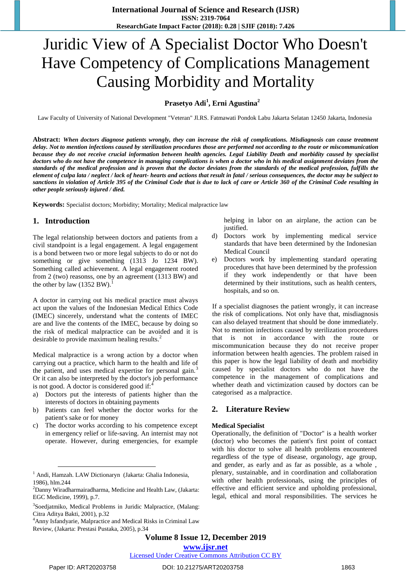# Juridic View of A Specialist Doctor Who Doesn't Have Competency of Complications Management Causing Morbidity and Mortality

**Prasetyo Adi<sup>1</sup> , Erni Agustina<sup>2</sup>**

Law Faculty of University of National Development "Veteran" Jl.RS. Fatmawati Pondok Labu Jakarta Selatan 12450 Jakarta, Indonesia

**Abstract:** *When doctors diagnose patients wrongly, they can increase the risk of complications. Misdiagnosis can cause treatment delay. Not to mention infections caused by sterilization procedures those are performed not according to the route or miscommunication because they do not receive crucial information between health agencies. Legal Liability Death and morbidity caused by specialist doctors who do not have the competence in managing complications is when a doctor who in his medical assignment deviates from the standards of the medical profession and is proven that the doctor deviates from the standards of the medical profession, fulfills the element of culpa lata / neglect / lack of heart- hearts and actions that result in fatal / serious consequences, the doctor may be subject to sanctions in violation of Article 395 of the Criminal Code that is due to lack of care or Article 360 of the Criminal Code resulting in other people seriously injured / died.*

**Keywords:** Specialist doctors; Morbidity; Mortality; Medical malpractice law

# **1. Introduction**

The legal relationship between doctors and patients from a civil standpoint is a legal engagement. A legal engagement is a bond between two or more legal subjects to do or not do something or give something (1313 Jo 1234 BW). Something called achievement. A legal engagement rooted from 2 (two) reasonss, one by an agreement (1313 BW) and the other by law  $(1352 \text{ BW})$ .

A doctor in carrying out his medical practice must always act upon the values of the Indonesian Medical Ethics Code (IMEC) sincerely, understand what the contents of IMEC are and live the contents of the IMEC, because by doing so the risk of medical malpractice can be avoided and it is desirable to provide maximum healing results.<sup>2</sup>

Medical malpractice is a wrong action by a doctor when carrying out a practice, which harm to the health and life of the patient, and uses medical expertise for personal gain.<sup>3</sup> Or it can also be interpreted by the doctor's job performance is not good. A doctor is considered good if: $\ddot{\cdot}$ 

- a) Doctors put the interests of patients higher than the interests of doctors in obtaining payments
- b) Patients can feel whether the doctor works for the patient's sake or for money
- c) The doctor works according to his competence except in emergency relief or life-saving. An internist may not operate. However, during emergencies, for example

helping in labor on an airplane, the action can be justified.

- d) Doctors work by implementing medical service standards that have been determined by the Indonesian Medical Council
- e) Doctors work by implementing standard operating procedures that have been determined by the profession if they work independently or that have been determined by their institutions, such as health centers, hospitals, and so on.

If a specialist diagnoses the patient wrongly, it can increase the risk of complications. Not only have that, misdiagnosis can also delayed treatment that should be done immediately. Not to mention infections caused by sterilization procedures that is not in accordance with the route or miscommunication because they do not receive proper information between health agencies. The problem raised in this paper is how the legal liability of death and morbidity caused by specialist doctors who do not have the competence in the management of complications and whether death and victimization caused by doctors can be categorised as a malpractice.

## **2. Literature Review**

## **Medical Specialist**

Operationally, the definition of "Doctor" is a health worker (doctor) who becomes the patient's first point of contact with his doctor to solve all health problems encountered regardless of the type of disease, organology, age group, and gender, as early and as far as possible, as a whole , plenary, sustainable, and in coordination and collaboration with other health professionals, using the principles of effective and efficient service and upholding professional, legal, ethical and moral responsibilities. The services he

**Volume 8 Issue 12, December 2019**

**www.ijsr.net**

## Licensed Under Creative Commons Attribution CC BY

<sup>&</sup>lt;sup>1</sup> Andi, Hamzah. LAW Dictionaryn (Jakarta: Ghalia Indonesia, 1986), hlm.244

<sup>&</sup>lt;sup>2</sup>Danny Wiradharmairadharma, Medicine and Health Law, (Jakarta: EGC Medicine, 1999), p.7.

<sup>&</sup>lt;sup>3</sup>Soedjatmiko, Medical Problems in Juridic Malpractice, (Malang: Citra Aditya Bakti, 2001), p.32

<sup>&</sup>lt;sup>4</sup>Anny Isfandyarie, Malpractice and Medical Risks in Criminal Law Review, (Jakarta: Prestasi Pustaka, 2005), p.34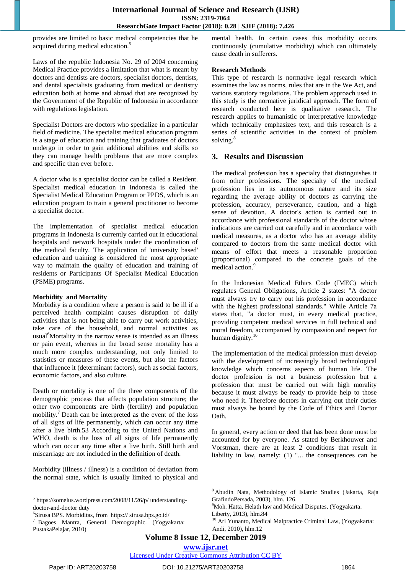provides are limited to basic medical competencies that he acquired during medical education.<sup>5</sup>

Laws of the republic Indonesia No. 29 of 2004 concerning Medical Practice provides a limitation that what is meant by doctors and dentists are doctors, specialist doctors, dentists, and dental specialists graduating from medical or dentistry education both at home and abroad that are recognized by the Government of the Republic of Indonesia in accordance with regulations legislation.

Specialist Doctors are doctors who specialize in a particular field of medicine. The specialist medical education program is a stage of education and training that graduates of doctors undergo in order to gain additional abilities and skills so they can manage health problems that are more complex and specific than ever before.

A doctor who is a specialist doctor can be called a Resident. Specialist medical education in Indonesia is called the Specialist Medical Education Program or PPDS, which is an education program to train a general practitioner to become a specialist doctor.

The implementation of specialist medical education programs in Indonesia is currently carried out in educational hospitals and network hospitals under the coordination of the medical faculty. The application of 'university based' education and training is considered the most appropriate way to maintain the quality of education and training of residents or Participants Of Specialist Medical Education (PSME) programs.

## **Morbidity and Mortality**

Morbidity is a condition where a person is said to be ill if a perceived health complaint causes disruption of daily activities that is not being able to carry out work activities, take care of the household, and normal activities as usual<sup>6</sup>Mortality in the narrow sense is intended as an illness or pain event, whereas in the broad sense mortality has a much more complex understanding, not only limited to statistics or measures of these events, but also the factors that influence it (determinant factors), such as social factors, economic factors, and also culture.

Death or mortality is one of the three components of the demographic process that affects population structure; the other two components are birth (fertility) and population mobility.<sup>7</sup> Death can be interpreted as the event of the loss of all signs of life permanently, which can occur any time after a live birth.53 According to the United Nations and WHO, death is the loss of all signs of life permanently which can occur any time after a live birth. Still birth and miscarriage are not included in the definition of death.

Morbidity (illness / illness) is a condition of deviation from the normal state, which is usually limited to physical and mental health. In certain cases this morbidity occurs continuously (cumulative morbidity) which can ultimately cause death in sufferers.

## **Research Methods**

This type of research is normative legal research which examines the law as norms, rules that are in the We Act, and various statutory regulations. The problem approach used in this study is the normative juridical approach. The form of research conducted here is qualitative research. The research applies to humanistic or interpretative knowledge which technically emphasizes text, and this research is a series of scientific activities in the context of problem solving.<sup>8</sup>

# **3. Results and Discussion**

The medical profession has a specialty that distinguishes it from other professions. The specialty of the medical profession lies in its autonomous nature and its size regarding the average ability of doctors as carrying the profession, accuracy, perseverance, caution, and a high sense of devotion. A doctor's action is carried out in accordance with professional standards of the doctor whose indications are carried out carefully and in accordance with medical measures, as a doctor who has an average ability compared to doctors from the same medical doctor with means of effort that meets a reasonable proportion (proportional) compared to the concrete goals of the medical action. 9

In the Indonesian Medical Ethics Code (IMEC) which regulates General Obligations, Article 2 states: "A doctor must always try to carry out his profession in accordance with the highest professional standards." While Article 7a states that, "a doctor must, in every medical practice, providing competent medical services in full technical and moral freedom, accompanied by compassion and respect for human dignity.<sup>10</sup>

The implementation of the medical profession must develop with the development of increasingly broad technological knowledge which concerns aspects of human life. The doctor profession is not a business profession but a profession that must be carried out with high morality because it must always be ready to provide help to those who need it. Therefore doctors in carrying out their duties must always be bound by the Code of Ethics and Doctor Oath.

In general, every action or deed that has been done must be accounted for by everyone. As stated by Berkhouwer and Vorstman, there are at least 2 conditions that result in liability in law, namely: (1) "... the consequences can be

<u>.</u>

<sup>5</sup> https://somelus.wordpress.com/2008/11/26/p/ understandingdoctor-and-doctor duty

<sup>6</sup> Sirusa BPS. Morbiditas, from https:// sirusa.bps.go.id/ <sup>7</sup> Bagoes Mantra, General Demographic. (Yogyakarta:

PustakaPelajar, 2010)

<sup>8</sup> Abudin Nata, Methodology of Islamic Studies (Jakarta, Raja GrafindoPersada, 2003), hlm. 126.

<sup>&</sup>lt;sup>9</sup>Moh. Hatta, Helath law and Medical Disputes, (Yogyakarta: Liberty, 2013), hlm.84

<sup>&</sup>lt;sup>10</sup> Ari Yunanto, Medical Malpractice Criminal Law, (Yogyakarta: Andi, 2010), hlm.12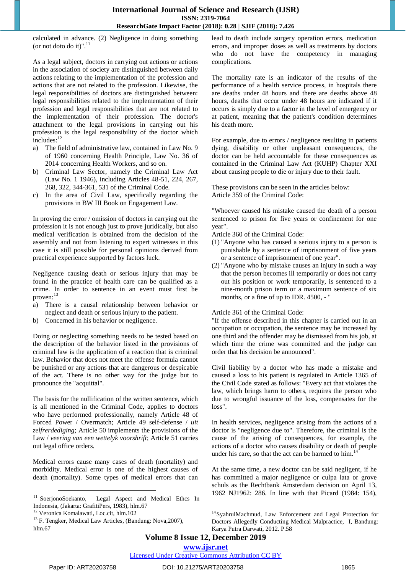calculated in advance. (2) Negligence in doing something (or not doto do it)".<sup>11</sup>

As a legal subject, doctors in carrying out actions or actions in the association of society are distinguished between daily actions relating to the implementation of the profession and actions that are not related to the profession. Likewise, the legal responsibilities of doctors are distinguished between: legal responsibilities related to the implementation of their profession and legal responsibilities that are not related to the implementation of their profession. The doctor's attachment to the legal provisions in carrying out his profession is the legal responsibility of the doctor which includes:<sup>12</sup>

- a) The field of administrative law, contained in Law No. 9 of 1960 concerning Health Principle, Law No. 36 of 2014 concerning Health Workers, and so on.
- b) Criminal Law Sector, namely the Criminal Law Act (Law No. 1 1946), including Articles 48-51, 224, 267, 268, 322, 344-361, 531 of the Criminal Code.
- c) In the area of Civil Law, specifically regarding the provisions in BW III Book on Engagement Law.

In proving the error / omission of doctors in carrying out the profession it is not enough just to prove juridically, but also medical verification is obtained from the decision of the assembly and not from listening to expert witnesses in this case it is still possible for personal opinions derived from practical experience supported by factors luck.

Negligence causing death or serious injury that may be found in the practice of health care can be qualified as a crime. In order to sentence in an event must first be proven:<sup>13</sup>

- a) There is a causal relationship between behavior or neglect and death or serious injury to the patient.
- b) Concerned in his behavior or negligence.

Doing or neglecting something needs to be tested based on the description of the behavior listed in the provisions of criminal law is the application of a reaction that is criminal law. Behavior that does not meet the offense formula cannot be punished or any actions that are dangerous or despicable of the act. There is no other way for the judge but to pronounce the "acquittal".

The basis for the nullification of the written sentence, which is all mentioned in the Criminal Code, applies to doctors who have performed professionally, namely Article 48 of Forced Power / Overmatch; Article 49 self-defense / *uit zelfrerdediging*; Article 50 implements the provisions of the Law / *veering van een wettelyk voorshrift*; Article 51 carries out legal office orders.

Medical errors cause many cases of death (mortality) and morbidity. Medical error is one of the highest causes of death (mortality). Some types of medical errors that can

lead to death include surgery operation errors, medication errors, and improper doses as well as treatments by doctors who do not have the competency in managing complications.

The mortality rate is an indicator of the results of the performance of a health service process, in hospitals there are deaths under 48 hours and there are deaths above 48 hours, deaths that occur under 48 hours are indicated if it occurs is simply due to a factor in the level of emergency or at patient, meaning that the patient's condition determines his death more.

For example, due to errors / negligence resulting in patients dying, disability or other unpleasant consequences, the doctor can be held accountable for these consequences as contained in the Criminal Law Act (KUHP) Chapter XXI about causing people to die or injury due to their fault.

These provisions can be seen in the articles below: Article 359 of the Criminal Code:

"Whoever caused his mistake caused the death of a person sentenced to prison for five years or confinement for one year".

Article 360 of the Criminal Code:

- (1) "Anyone who has caused a serious injury to a person is punishable by a sentence of imprisonment of five years or a sentence of imprisonment of one year".
- (2) "Anyone who by mistake causes an injury in such a way that the person becomes ill temporarily or does not carry out his position or work temporarily, is sentenced to a nine-month prison term or a maximum sentence of six months, or a fine of up to IDR. 4500, - "

Article 361 of the Criminal Code:

"If the offense described in this chapter is carried out in an occupation or occupation, the sentence may be increased by one third and the offender may be dismissed from his job, at which time the crime was committed and the judge can order that his decision be announced".

Civil liability by a doctor who has made a mistake and caused a loss to his patient is regulated in Article 1365 of the Civil Code stated as follows: "Every act that violates the law, which brings harm to others, requires the person who due to wrongful issuance of the loss, compensates for the loss".

In health services, negligence arising from the actions of a doctor is "negligence due to". Therefore, the criminal is the cause of the arising of consequences, for example, the actions of a doctor who causes disability or death of people under his care, so that the act can be harmed to him.<sup>14</sup>

At the same time, a new doctor can be said negligent, if he has committed a major negligence or culpa lata or grove schuls as the Rechtbank Amsterdam decision on April 13, 1962 NJ1962: 286. In line with that Picard (1984: 154),

<u>.</u>

Licensed Under Creative Commons Attribution CC BY

<sup>&</sup>lt;sup>11</sup> SoerjonoSoekanto, Legal Aspect and Medical Ethcs In Indonesia, (Jakarta: GrafitiPers, 1983), hlm.67

<sup>12</sup> Veronica Komalawati, Loc.cit, hlm.102

<sup>&</sup>lt;sup>13</sup> F. Tengker, Medical Law Articles, (Bandung: Nova, 2007), hlm.67

<sup>14</sup>SyahrulMachmud, Law Enforcement and Legal Protection for Doctors Allegedly Conducting Medical Malpractice, I, Bandung: Karya Putra Darwati, 2012. P.58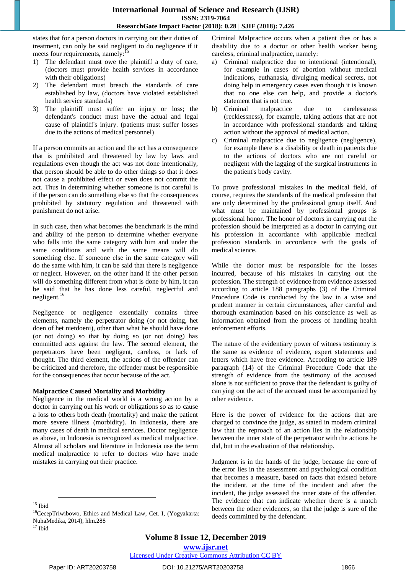states that for a person doctors in carrying out their duties of treatment, can only be said negligent to do negligence if it meets four requirements, namely:

- 1) The defendant must owe the plaintiff a duty of care, (doctors must provide health services in accordance with their obligations)
- 2) The defendant must breach the standards of care established by law, (doctors have violated established health service standards)
- 3) The plaintiff must suffer an injury or loss; the defendant's conduct must have the actual and legal cause of plaintiff's injury. (patients must suffer losses due to the actions of medical personnel)

If a person commits an action and the act has a consequence that is prohibited and threatened by law by laws and regulations even though the act was not done intentionally, that person should be able to do other things so that it does not cause a prohibited effect or even does not commit the act. Thus in determining whether someone is not careful is if the person can do something else so that the consequences prohibited by statutory regulation and threatened with punishment do not arise.

In such case, then what becomes the benchmark is the mind and ability of the person to determine whether everyone who falls into the same category with him and under the same conditions and with the same means will do something else. If someone else in the same category will do the same with him, it can be said that there is negligence or neglect. However, on the other hand if the other person will do something different from what is done by him, it can be said that he has done less careful, neglectful and negligent.<sup>16</sup>

Negligence or negligence essentially contains three elements, namely the perpetrator doing (or not doing, het doen of het nietdoeni), other than what he should have done (or not doing) so that by doing so (or not doing) has committed acts against the law. The second element, the perpetrators have been negligent, careless, or lack of thought. The third element, the actions of the offender can be criticized and therefore, the offender must be responsible for the consequences that occur because of the act.<sup>1</sup>

## **Malpractice Caused Mortality and Morbidity**

Negligence in the medical world is a wrong action by a doctor in carrying out his work or obligations so as to cause a loss to others both death (mortality) and make the patient more severe illness (morbidity). In Indonesia, there are many cases of death in medical services. Doctor negligence as above, in Indonesia is recognized as medical malpractice. Almost all scholars and literature in Indonesia use the term medical malpractice to refer to doctors who have made mistakes in carrying out their practice.

Criminal Malpractice occurs when a patient dies or has a disability due to a doctor or other health worker being careless, criminal malpractice, namely:

- a) Criminal malpractice due to intentional (intentional), for example in cases of abortion without medical indications, euthanasia, divulging medical secrets, not doing help in emergency cases even though it is known that no one else can help, and provide a doctor's statement that is not true.
- b) Criminal malpractice due to carelessness (recklessness), for example, taking actions that are not in accordance with professional standards and taking action without the approval of medical action.
- c) Criminal malpractice due to negligence (negligence), for example there is a disability or death in patients due to the actions of doctors who are not careful or negligent with the lagging of the surgical instruments in the patient's body cavity.

To prove professional mistakes in the medical field, of course, requires the standards of the medical profession that are only determined by the professional group itself. And what must be maintained by professional groups is professional honor. The honor of doctors in carrying out the profession should be interpreted as a doctor in carrying out his profession in accordance with applicable medical profession standards in accordance with the goals of medical science.

While the doctor must be responsible for the losses incurred, because of his mistakes in carrying out the profession. The strength of evidence from evidence assessed according to article 188 paragraphs (3) of the Criminal Procedure Code is conducted by the law in a wise and prudent manner in certain circumstances, after careful and thorough examination based on his conscience as well as information obtained from the process of handling health enforcement efforts.

The nature of the evidentiary power of witness testimony is the same as evidence of evidence, expert statements and letters which have free evidence. According to article 189 paragraph (14) of the Criminal Procedure Code that the strength of evidence from the testimony of the accused alone is not sufficient to prove that the defendant is guilty of carrying out the act of the accused must be accompanied by other evidence.

Here is the power of evidence for the actions that are charged to convince the judge, as stated in modern criminal law that the reproach of an action lies in the relationship between the inner state of the perpetrator with the actions he did, but in the evaluation of that relationship.

Judgment is in the hands of the judge, because the core of the error lies in the assessment and psychological condition that becomes a measure, based on facts that existed before the incident, at the time of the incident and after the incident, the judge assessed the inner state of the offender. The evidence that can indicate whether there is a match between the other evidences, so that the judge is sure of the deeds committed by the defendant.

**www.ijsr.net**

Licensed Under Creative Commons Attribution CC BY

<sup>15</sup> Ibid

<sup>16</sup>CecepTriwibowo, Ethics and Medical Law, Cet. I, (Yogyakarta: NuhaMedika, 2014), hlm.288  $17$  Ibid